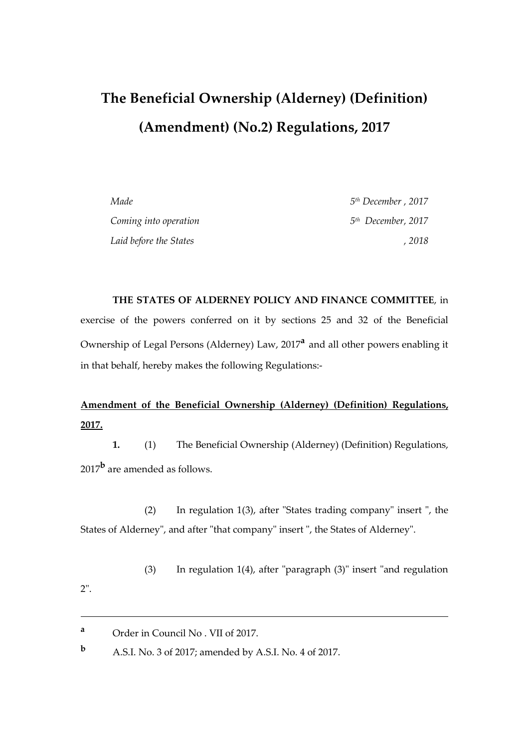# **The Beneficial Ownership (Alderney) (Definition) (Amendment) (No.2) Regulations, 2017**

| Made                   | 5 <sup>th</sup> December, 2017 |
|------------------------|--------------------------------|
| Coming into operation  | $5th$ December, 2017           |
| Laid before the States | . 2018                         |

**THE STATES OF ALDERNEY POLICY AND FINANCE COMMITTEE**, in exercise of the powers conferred on it by sections 25 and 32 of the Beneficial Ownership of Legal Persons (Alderney) Law, 2017**<sup>a</sup>** and all other powers enabling it in that behalf, hereby makes the following Regulations:-

# **Amendment of the Beneficial Ownership (Alderney) (Definition) Regulations, 2017.**

**1.** (1) The Beneficial Ownership (Alderney) (Definition) Regulations, 2017**<sup>b</sup>** are amended as follows.

(2) In regulation 1(3), after "States trading company" insert ", the States of Alderney", and after "that company" insert ", the States of Alderney".

(3) In regulation 1(4), after "paragraph (3)" insert "and regulation

2".

 $\overline{a}$ 

**<sup>b</sup>** A.S.I. No. 3 of 2017; amended by A.S.I. No. 4 of 2017.

**<sup>a</sup>** Order in Council No . VII of 2017.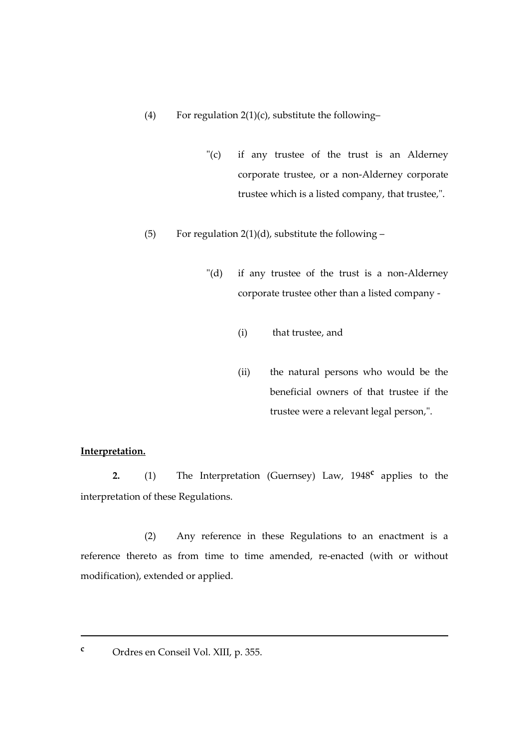- (4) For regulation  $2(1)(c)$ , substitute the following-
	- "(c) if any trustee of the trust is an Alderney corporate trustee, or a non-Alderney corporate trustee which is a listed company, that trustee,".
- (5) For regulation 2(1)(d), substitute the following  $-$ 
	- "(d) if any trustee of the trust is a non-Alderney corporate trustee other than a listed company -
		- (i) that trustee, and
		- (ii) the natural persons who would be the beneficial owners of that trustee if the trustee were a relevant legal person,".

# **Interpretation.**

**2.** (1) The Interpretation (Guernsey) Law, 1948**<sup>c</sup>** applies to the interpretation of these Regulations.

(2) Any reference in these Regulations to an enactment is a reference thereto as from time to time amended, re-enacted (with or without modification), extended or applied.

**.** 

**<sup>c</sup>** Ordres en Conseil Vol. XIII, p. 355.